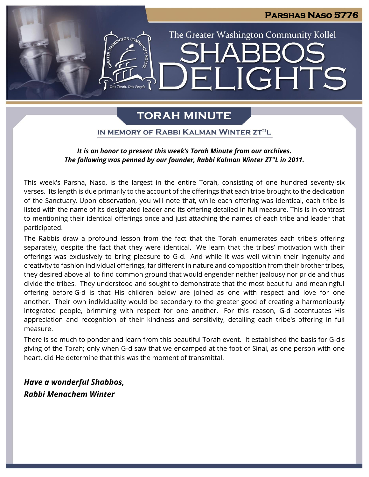### **Parshas Naso 5776**

# The Greater Washington Community Kollel **IGHTS**  $\mathbf{H}$

### **TORAH MINUTE**

IN MEMORY OF RABBI KALMAN WINTER ZT"L

### *It is an honor to present this week's Torah Minute from our archives. The following was penned by our founder, Rabbi Kalman Winter ZT"L in 2011.*

This week's Parsha, Naso, is the largest in the entire Torah, consisting of one hundred seventy-six verses. Its length is due primarily to the account of the offerings that each tribe brought to the dedication of the Sanctuary. Upon observation, you will note that, while each offering was identical, each tribe is listed with the name of its designated leader and its offering detailed in full measure. This is in contrast to mentioning their identical offerings once and just attaching the names of each tribe and leader that participated.

The Rabbis draw a profound lesson from the fact that the Torah enumerates each tribe's offering separately, despite the fact that they were identical. We learn that the tribes' motivation with their offerings was exclusively to bring pleasure to G-d. And while it was well within their ingenuity and creativity to fashion individual offerings, far different in nature and composition from their brother tribes, they desired above all to find common ground that would engender neither jealousy nor pride and thus divide the tribes. They understood and sought to demonstrate that the most beautiful and meaningful offering before G-d is that His children below are joined as one with respect and love for one another. Their own individuality would be secondary to the greater good of creating a harmoniously integrated people, brimming with respect for one another. For this reason, G-d accentuates His appreciation and recognition of their kindness and sensitivity, detailing each tribe's offering in full measure.

There is so much to ponder and learn from this beautiful Torah event. It established the basis for G-d's giving of the Torah; only when G-d saw that we encamped at the foot of Sinai, as one person with one heart, did He determine that this was the moment of transmittal.

*Have a wonderful Shabbos, Rabbi Menachem Winter*